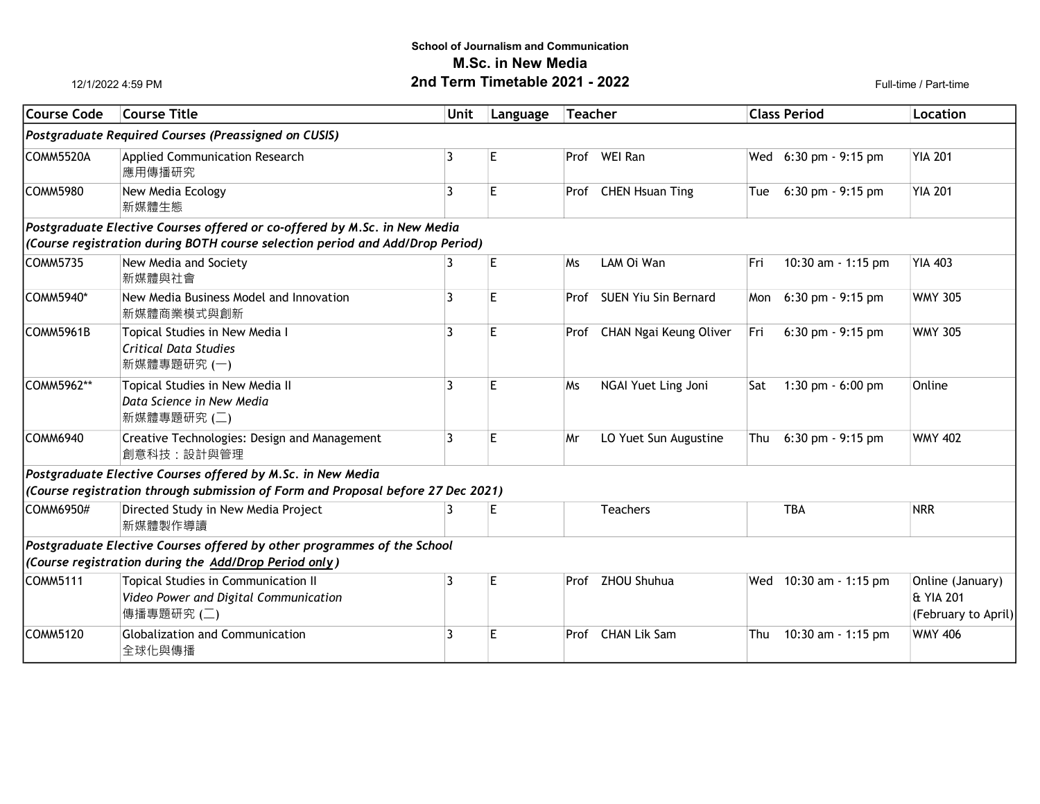## School of Journalism and Communication M.Sc. in New Media **2nd Term Timetable 2021 - 2022** Full-time / Part-time

12/1/2022 4:59 PM

| Course Code                                          | <b>Course Title</b>                                                                        | <b>Unit</b> | Language | <b>Teacher</b> |                             | <b>Class Period</b> |                       | Location                                             |  |  |  |  |
|------------------------------------------------------|--------------------------------------------------------------------------------------------|-------------|----------|----------------|-----------------------------|---------------------|-----------------------|------------------------------------------------------|--|--|--|--|
| Postgraduate Required Courses (Preassigned on CUSIS) |                                                                                            |             |          |                |                             |                     |                       |                                                      |  |  |  |  |
| ICOMM5520A                                           | <b>Applied Communication Research</b><br>應用傳播研究                                            | 3           | E        |                | Prof WEI Ran                |                     | Wed 6:30 pm - 9:15 pm | <b>YIA 201</b>                                       |  |  |  |  |
| COMM5980                                             | New Media Ecology<br>新媒體生態                                                                 | 3           | E        |                | Prof CHEN Hsuan Ting        | Tue                 | $6:30$ pm $-9:15$ pm  | <b>YIA 201</b>                                       |  |  |  |  |
|                                                      | Postgraduate Elective Courses offered or co-offered by M.Sc. in New Media                  |             |          |                |                             |                     |                       |                                                      |  |  |  |  |
|                                                      | (Course registration during BOTH course selection period and Add/Drop Period)              |             |          |                |                             |                     |                       |                                                      |  |  |  |  |
| COMM5735                                             | New Media and Society<br>新媒體與社會                                                            | 3           | E        | <b>Ms</b>      | LAM Oi Wan                  | Fri                 | 10:30 am - 1:15 pm    | <b>YIA 403</b>                                       |  |  |  |  |
| COMM5940*                                            | New Media Business Model and Innovation<br>新媒體商業模式與創新                                      | 3           | E        |                | Prof SUEN Yiu Sin Bernard   | Mon                 | 6:30 pm - 9:15 pm     | <b>WMY 305</b>                                       |  |  |  |  |
| COMM5961B                                            | Topical Studies in New Media I<br>Critical Data Studies<br>新媒體專題研究 (一)                     | 3           | E        |                | Prof CHAN Ngai Keung Oliver | Fri                 | 6:30 pm - 9:15 pm     | <b>WMY 305</b>                                       |  |  |  |  |
| COMM5962**                                           | Topical Studies in New Media II<br>Data Science in New Media<br>新媒體專題研究 (二)                | 3           | E        | Ms             | NGAI Yuet Ling Joni         | Sat                 | 1:30 pm - 6:00 pm     | Online                                               |  |  |  |  |
| COMM6940                                             | Creative Technologies: Design and Management<br>創意科技:設計與管理                                 | 3           | E        | Mr             | LO Yuet Sun Augustine       | Thu                 | 6:30 pm - 9:15 pm     | <b>WMY 402</b>                                       |  |  |  |  |
|                                                      | Postgraduate Elective Courses offered by M.Sc. in New Media                                |             |          |                |                             |                     |                       |                                                      |  |  |  |  |
|                                                      | (Course registration through submission of Form and Proposal before 27 Dec 2021)           |             |          |                |                             |                     |                       |                                                      |  |  |  |  |
| COMM6950#                                            | Directed Study in New Media Project<br>新媒體製作導讀                                             | 3           | E        |                | <b>Teachers</b>             |                     | <b>TBA</b>            | <b>NRR</b>                                           |  |  |  |  |
|                                                      | Postgraduate Elective Courses offered by other programmes of the School                    |             |          |                |                             |                     |                       |                                                      |  |  |  |  |
|                                                      | (Course registration during the Add/Drop Period only)                                      |             |          |                |                             |                     |                       |                                                      |  |  |  |  |
| COMM5111                                             | Topical Studies in Communication II<br>Video Power and Digital Communication<br>傳播專題研究 (二) | 3           | E        |                | Prof ZHOU Shuhua            | Wed                 | 10:30 am - 1:15 pm    | Online (January)<br>& YIA 201<br>(February to April) |  |  |  |  |
| COMM5120                                             | Globalization and Communication<br>全球化與傳播                                                  | 3           | E        |                | Prof CHAN Lik Sam           | Thu                 | 10:30 am - 1:15 pm    | <b>WMY 406</b>                                       |  |  |  |  |